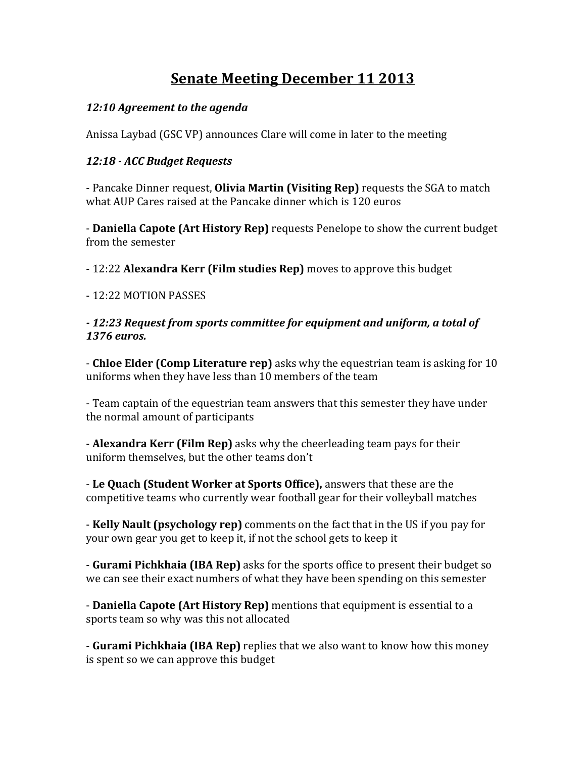# **<u>Senate Meeting December 11 2013</u>**

#### 12:10 Agreement to the agenda

Anissa Laybad (GSC VP) announces Clare will come in later to the meeting

#### *12:18 - ACC Budget Requests*

- Pancake Dinner request, **Olivia Martin (Visiting Rep)** requests the SGA to match what AUP Cares raised at the Pancake dinner which is 120 euros

**- Daniella Capote (Art History Rep)** requests Penelope to show the current budget from the semester

- 12:22 **Alexandra Kerr (Film studies Rep)** moves to approve this budget

#### - 12:22 MOTION PASSES

#### *- 12:23 Request from sports committee for equipment and uniform, a total of 1376 euros.*

- **Chloe Elder (Comp Literature rep)** asks why the equestrian team is asking for 10 uniforms when they have less than 10 members of the team

- Team captain of the equestrian team answers that this semester they have under the normal amount of participants

**- Alexandra Kerr (Film Rep)** asks why the cheerleading team pays for their uniform themselves, but the other teams don't

- Le Quach (Student Worker at Sports Office), answers that these are the competitive teams who currently wear football gear for their volleyball matches

**- Kelly Nault (psychology rep)** comments on the fact that in the US if you pay for your own gear you get to keep it, if not the school gets to keep it

**- Gurami Pichkhaia (IBA Rep)** asks for the sports office to present their budget so we can see their exact numbers of what they have been spending on this semester

**- Daniella Capote (Art History Rep)** mentions that equipment is essential to a sports team so why was this not allocated

- Gurami Pichkhaia (IBA Rep) replies that we also want to know how this money is spent so we can approve this budget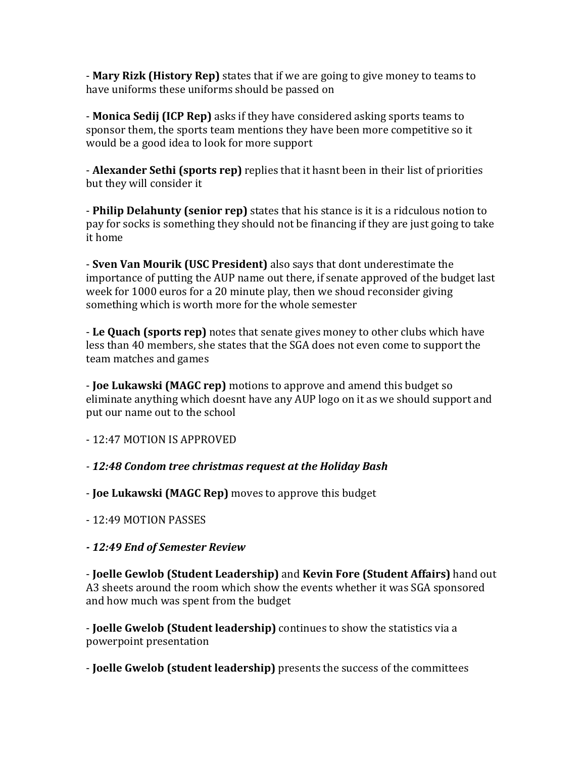- **Mary Rizk (History Rep)** states that if we are going to give money to teams to have uniforms these uniforms should be passed on

- **Monica Sedij (ICP Rep)** asks if they have considered asking sports teams to sponsor them, the sports team mentions they have been more competitive so it would be a good idea to look for more support

**- Alexander Sethi (sports rep)** replies that it hasnt been in their list of priorities but they will consider it

- **Philip Delahunty (senior rep)** states that his stance is it is a ridculous notion to pay for socks is something they should not be financing if they are just going to take it home

- **Sven Van Mourik (USC President)** also says that dont underestimate the importance of putting the AUP name out there, if senate approved of the budget last week for 1000 euros for a 20 minute play, then we shoud reconsider giving something which is worth more for the whole semester

- Le Quach (sports rep) notes that senate gives money to other clubs which have less than 40 members, she states that the SGA does not even come to support the team matches and games

**- Joe Lukawski (MAGC rep)** motions to approve and amend this budget so eliminate anything which doesnt have any AUP logo on it as we should support and put our name out to the school

- 12:47 MOTION IS APPROVED 

*- 12:48 Condom tree christmas request at the Holiday Bash*

- **Joe Lukawski (MAGC Rep)** moves to approve this budget

- 12:49 MOTION PASSES

*- 12:49 End of Semester Review*

- **Joelle Gewlob (Student Leadership)** and **Kevin Fore (Student Affairs)** hand out A3 sheets around the room which show the events whether it was SGA sponsored and how much was spent from the budget

**- Joelle Gwelob (Student leadership)** continues to show the statistics via a powerpoint presentation

- **Joelle Gwelob (student leadership)** presents the success of the committees